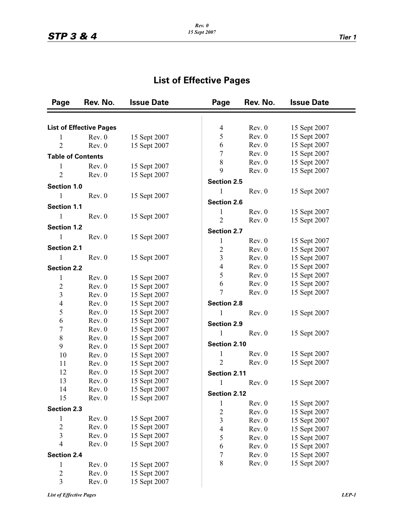## **List of Effective Pages**

| Page                     | Rev. No.                       | <b>Issue Date</b>  | Page                | Rev. No.     | <b>Issue Date</b> |  |
|--------------------------|--------------------------------|--------------------|---------------------|--------------|-------------------|--|
|                          |                                |                    |                     |              |                   |  |
|                          | <b>List of Effective Pages</b> |                    | $\overline{4}$      | Rev. 0       | 15 Sept 2007      |  |
| 1                        | Rev. 0                         | 15 Sept 2007       | 5                   | Rev. 0       | 15 Sept 2007      |  |
| $\overline{2}$           | Rev. 0                         | 15 Sept 2007       | 6                   | Rev. 0       | 15 Sept 2007      |  |
| <b>Table of Contents</b> |                                | 7                  | Rev. 0              | 15 Sept 2007 |                   |  |
| 1                        | Rev. 0                         | 15 Sept 2007       | 8                   | Rev. 0       | 15 Sept 2007      |  |
| $\overline{2}$           | Rev. 0                         |                    | 9                   | Rev. 0       | 15 Sept 2007      |  |
| 15 Sept 2007             |                                | <b>Section 2.5</b> |                     |              |                   |  |
| <b>Section 1.0</b>       |                                | 1                  | Rev. 0              | 15 Sept 2007 |                   |  |
| 1                        | Rev. 0                         | 15 Sept 2007       |                     |              |                   |  |
| <b>Section 1.1</b>       |                                |                    | <b>Section 2.6</b>  |              |                   |  |
| 1                        | Rev. 0                         | 15 Sept 2007       | 1                   | Rev. 0       | 15 Sept 2007      |  |
| <b>Section 1.2</b>       |                                |                    | $\overline{2}$      | Rev. 0       | 15 Sept 2007      |  |
| 1                        | Rev. 0                         |                    | <b>Section 2.7</b>  |              |                   |  |
|                          |                                | 15 Sept 2007       | 1                   | Rev. 0       | 15 Sept 2007      |  |
| <b>Section 2.1</b>       |                                |                    | $\overline{2}$      | Rev. 0       | 15 Sept 2007      |  |
| 1                        | Rev. 0                         | 15 Sept 2007       | 3                   | Rev. 0       | 15 Sept 2007      |  |
| <b>Section 2.2</b>       |                                |                    | $\overline{4}$      | Rev. 0       | 15 Sept 2007      |  |
| $\mathbf 1$              | Rev. 0                         | 15 Sept 2007       | 5                   | Rev. 0       | 15 Sept 2007      |  |
| $\overline{c}$           | Rev. 0                         | 15 Sept 2007       | 6                   | Rev. 0       | 15 Sept 2007      |  |
| $\mathfrak{Z}$           | Rev. 0                         | 15 Sept 2007       | 7                   | Rev. 0       | 15 Sept 2007      |  |
| $\overline{4}$           | Rev. 0                         | 15 Sept 2007       | <b>Section 2.8</b>  |              |                   |  |
| 5                        | Rev. 0                         | 15 Sept 2007       | 1                   | Rev. 0       | 15 Sept 2007      |  |
| 6                        | Rev. 0                         | 15 Sept 2007       |                     |              |                   |  |
| $\overline{7}$           | Rev. 0                         | 15 Sept 2007       | <b>Section 2.9</b>  |              |                   |  |
| $\,$ $\,$                | Rev. 0                         | 15 Sept 2007       | 1                   | Rev. 0       | 15 Sept 2007      |  |
| 9                        | Rev. 0                         | 15 Sept 2007       | Section 2.10        |              |                   |  |
| 10                       | Rev. 0                         | 15 Sept 2007       | 1                   | Rev. 0       | 15 Sept 2007      |  |
| 11                       | Rev. 0                         | 15 Sept 2007       | $\overline{2}$      | Rev. 0       | 15 Sept 2007      |  |
| 12                       | Rev. 0                         | 15 Sept 2007       | Section 2.11        |              |                   |  |
| 13                       | Rev. 0                         | 15 Sept 2007       | 1                   | Rev. 0       | 15 Sept 2007      |  |
| 14                       | Rev. 0                         | 15 Sept 2007       |                     |              |                   |  |
| 15                       | Rev. 0                         | 15 Sept 2007       | <b>Section 2.12</b> |              |                   |  |
| <b>Section 2.3</b>       |                                |                    | $\mathbf{1}$        | Rev. 0       | 15 Sept 2007      |  |
|                          |                                |                    | $\overline{c}$      | Rev. 0       | 15 Sept 2007      |  |
| 1<br>$\overline{c}$      | Rev. 0<br>Rev. 0               | 15 Sept 2007       | 3                   | Rev. 0       | 15 Sept 2007      |  |
|                          |                                | 15 Sept 2007       | $\overline{4}$      | Rev. 0       | 15 Sept 2007      |  |
| $\mathfrak{Z}$<br>4      | Rev. 0                         | 15 Sept 2007       | 5                   | Rev. 0       | 15 Sept 2007      |  |
|                          | Rev. 0                         | 15 Sept 2007       | 6                   | Rev. 0       | 15 Sept 2007      |  |
| <b>Section 2.4</b>       |                                |                    | $\sqrt{ }$          | Rev. 0       | 15 Sept 2007      |  |
| 1                        | Rev. 0                         | 15 Sept 2007       | 8                   | Rev. 0       | 15 Sept 2007      |  |
| $\overline{2}$           | Rev. 0                         | 15 Sept 2007       |                     |              |                   |  |
| 3                        | Rev. 0                         | 15 Sept 2007       |                     |              |                   |  |